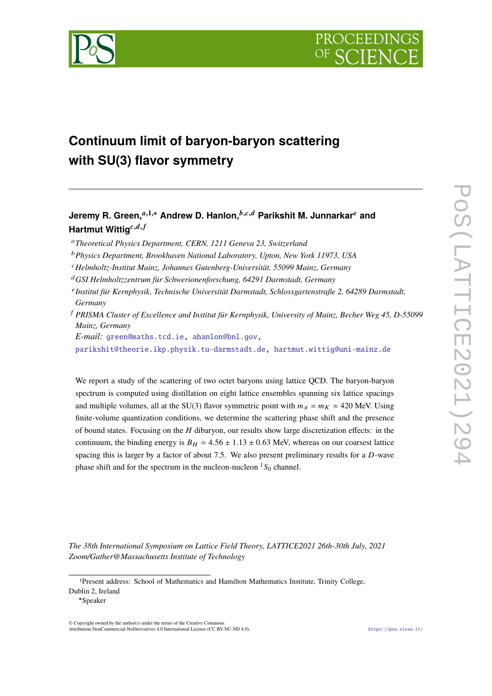



# **Continuum limit of baryon-baryon scattering with SU(3) flavor symmetry**

## **Jeremy R. Green,**<sup>*a*,1,∗</sup> Andrew D. Hanlon,<sup>*b,c,d*</sup> Parikshit M. Junnarkar<sup>*e*</sup> and **Hartmut Wittig**<sup>c,d,f</sup>

- *Theoretical Physics Department, CERN, 1211 Geneva 23, Switzerland*
- *Physics Department, Brookhaven National Laboratory, Upton, New York 11973, USA*
- *Helmholtz-Institut Mainz, Johannes Gutenberg-Universität, 55099 Mainz, Germany*
- *GSI Helmholtzzentrum für Schwerionenforschung, 64291 Darmstadt, Germany*
- *Institut für Kernphysik, Technische Universität Darmstadt, Schlossgartenstraße 2, 64289 Darmstadt, Germany*
- *PRISMA Cluster of Excellence and Institut für Kernphysik, University of Mainz, Becher Weg 45, D-55099 Mainz, Germany*

*E-mail:* [green@maths.tcd.ie,](mailto:green@maths.tcd.ie) [ahanlon@bnl.gov,](mailto:ahanlon@bnl.gov)

[parikshit@theorie.ikp.physik.tu-darmstadt.de,](mailto:parikshit@theorie.ikp.physik.tu-darmstadt.de) [hartmut.wittig@uni-mainz.de](mailto:hartmut.wittig@uni-mainz.de)

We report a study of the scattering of two octet baryons using lattice QCD. The baryon-baryon spectrum is computed using distillation on eight lattice ensembles spanning six lattice spacings and multiple volumes, all at the SU(3) flavor symmetric point with  $m_{\pi} = m_K \approx 420$  MeV. Using finite-volume quantization conditions, we determine the scattering phase shift and the presence of bound states. Focusing on the  $H$  dibaryon, our results show large discretization effects: in the continuum, the binding energy is  $B_H = 4.56 \pm 1.13 \pm 0.63$  MeV, whereas on our coarsest lattice spacing this is larger by a factor of about 7.5. We also present preliminary results for a  $D$ -wave phase shift and for the spectrum in the nucleon-nucleon  ${}^{1}S_{0}$  channel.

*The 38th International Symposium on Lattice Field Theory, LATTICE2021 26th-30th July, 2021 Zoom/Gather@Massachusetts Institute of Technology*

<sup>1</sup>Present address: School of Mathematics and Hamilton Mathematics Institute, Trinity College, Dublin 2, Ireland

<sup>∗</sup>Speaker

<sup>©</sup> Copyright owned by the author(s) under the terms of the Creative Commons Attribution-NonCommercial-NoDerivatives 4.0 International License (CC BY-NC-ND 4.0). <https://pos.sissa.it/>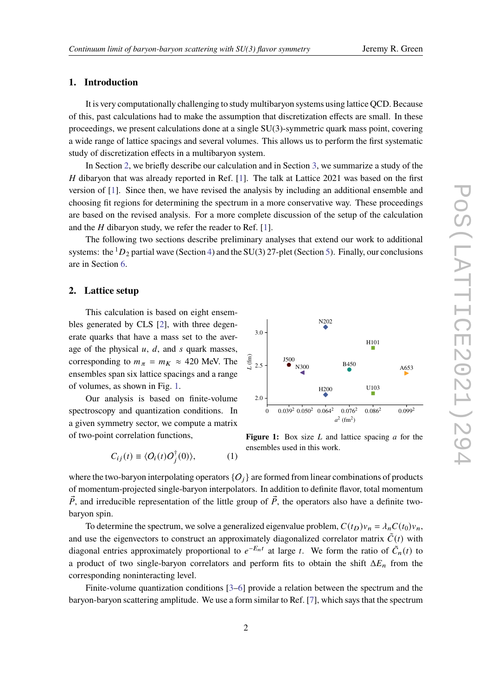#### **1. Introduction**

It is very computationally challenging to study multibaryon systems using lattice QCD. Because of this, past calculations had to make the assumption that discretization effects are small. In these proceedings, we present calculations done at a single SU(3)-symmetric quark mass point, covering a wide range of lattice spacings and several volumes. This allows us to perform the first systematic study of discretization effects in a multibaryon system.

In Section [2,](#page-1-0) we briefly describe our calculation and in Section [3,](#page-2-0) we summarize a study of the  $H$  dibaryon that was already reported in Ref. [\[1\]](#page-7-0). The talk at Lattice 2021 was based on the first version of [\[1\]](#page-7-0). Since then, we have revised the analysis by including an additional ensemble and choosing fit regions for determining the spectrum in a more conservative way. These proceedings are based on the revised analysis. For a more complete discussion of the setup of the calculation and the  $H$  dibaryon study, we refer the reader to Ref. [\[1\]](#page-7-0).

The following two sections describe preliminary analyses that extend our work to additional systems: the  ${}^{1}D_2$  partial wave (Section [4\)](#page-4-0) and the SU(3) 27-plet (Section [5\)](#page-6-0). Finally, our conclusions are in Section [6.](#page-6-1)

#### <span id="page-1-0"></span>**2. Lattice setup**

This calculation is based on eight ensembles generated by CLS [\[2\]](#page-7-1), with three degenerate quarks that have a mass set to the average of the physical  $u$ ,  $d$ , and  $s$  quark masses, corresponding to  $m_{\pi} = m_K \approx 420$  MeV. The ensembles span six lattice spacings and a range of volumes, as shown in Fig. [1.](#page-1-1)

Our analysis is based on finite-volume spectroscopy and quantization conditions. In a given symmetry sector, we compute a matrix of two-point correlation functions,

$$
C_{ij}(t) \equiv \langle O_i(t)O_j^{\dagger}(0) \rangle, \qquad (1)
$$

<span id="page-1-1"></span>

**Figure 1:** Box size  $L$  and lattice spacing  $a$  for the ensembles used in this work.

where the two-baryon interpolating operators  ${O_i}$  are formed from linear combinations of products of momentum-projected single-baryon interpolators. In addition to definite flavor, total momentum  $\vec{P}$ , and irreducible representation of the little group of  $\vec{P}$ , the operators also have a definite twobaryon spin.

To determine the spectrum, we solve a generalized eigenvalue problem,  $C(t_D)v_n = \lambda_n C(t_0)v_n$ , and use the eigenvectors to construct an approximately diagonalized correlator matrix  $\tilde{C}(t)$  with diagonal entries approximately proportional to  $e^{-E_n t}$  at large t. We form the ratio of  $\tilde{C}_n(t)$  to a product of two single-baryon correlators and perform fits to obtain the shift  $\Delta E_n$  from the corresponding noninteracting level.

Finite-volume quantization conditions [\[3–](#page-7-2)[6\]](#page-7-3) provide a relation between the spectrum and the baryon-baryon scattering amplitude. We use a form similar to Ref. [\[7\]](#page-8-0), which says that the spectrum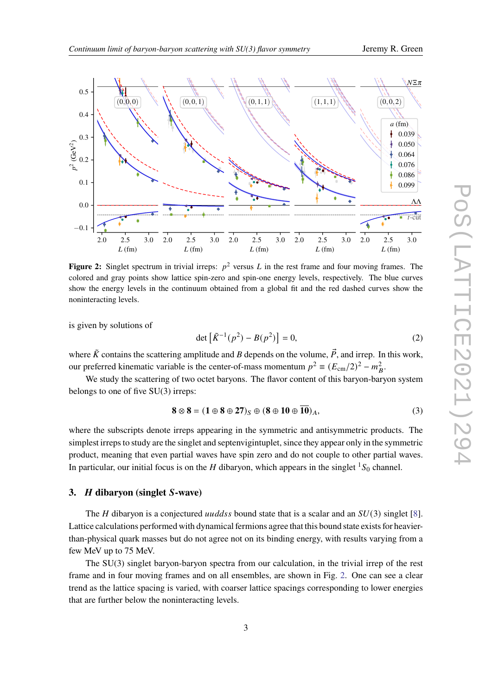<span id="page-2-1"></span>

**Figure 2:** Singlet spectrum in trivial irreps:  $p^2$  versus L in the rest frame and four moving frames. The colored and gray points show lattice spin-zero and spin-one energy levels, respectively. The blue curves show the energy levels in the continuum obtained from a global fit and the red dashed curves show the noninteracting levels.

is given by solutions of

$$
\det \left[ \tilde{K}^{-1}(p^2) - B(p^2) \right] = 0,
$$
\n(2)

where  $\tilde{K}$  contains the scattering amplitude and B depends on the volume,  $\vec{P}$ , and irrep. In this work, our preferred kinematic variable is the center-of-mass momentum  $p^2 \equiv (E_{cm}/2)^2 - m_B^2$ .

We study the scattering of two octet baryons. The flavor content of this baryon-baryon system belongs to one of five SU(3) irreps:

$$
\mathbf{8} \otimes \mathbf{8} = (\mathbf{1} \oplus \mathbf{8} \oplus \mathbf{27})_{\mathbf{S}} \oplus (\mathbf{8} \oplus \mathbf{10} \oplus \overline{\mathbf{10}})_{\mathbf{A}},
$$
(3)

where the subscripts denote irreps appearing in the symmetric and antisymmetric products. The simplest irreps to study are the singlet and septenvigintuplet, since they appear only in the symmetric product, meaning that even partial waves have spin zero and do not couple to other partial waves. In particular, our initial focus is on the *H* dibaryon, which appears in the singlet  ${}^{1}S_{0}$  channel.

### <span id="page-2-0"></span>**3.** *H* dibaryon (singlet S-wave)

The *H* dibaryon is a conjectured *uuddss* bound state that is a scalar and an  $SU(3)$  singlet [\[8\]](#page-8-1). Lattice calculations performed with dynamical fermions agree that this bound state exists for heavierthan-physical quark masses but do not agree not on its binding energy, with results varying from a few MeV up to 75 MeV.

The SU(3) singlet baryon-baryon spectra from our calculation, in the trivial irrep of the rest frame and in four moving frames and on all ensembles, are shown in Fig. [2.](#page-2-1) One can see a clear trend as the lattice spacing is varied, with coarser lattice spacings corresponding to lower energies that are further below the noninteracting levels.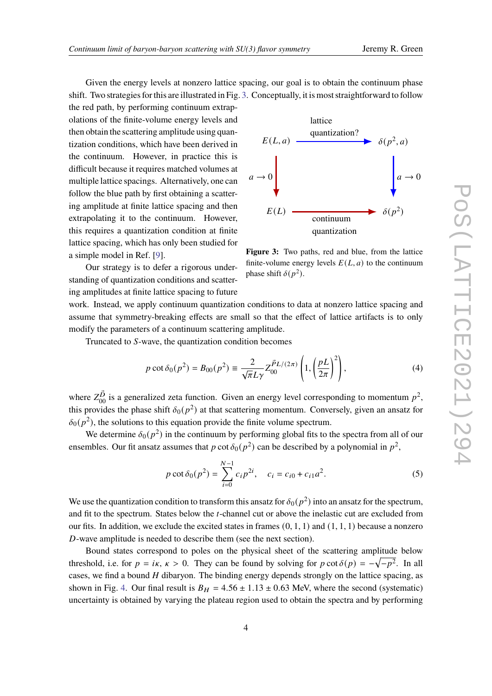Given the energy levels at nonzero lattice spacing, our goal is to obtain the continuum phase shift. Two strategies for this are illustrated in Fig. [3.](#page-3-0) Conceptually, it is most straightforward to follow

the red path, by performing continuum extrapolations of the finite-volume energy levels and then obtain the scattering amplitude using quantization conditions, which have been derived in the continuum. However, in practice this is difficult because it requires matched volumes at multiple lattice spacings. Alternatively, one can follow the blue path by first obtaining a scattering amplitude at finite lattice spacing and then extrapolating it to the continuum. However, this requires a quantization condition at finite lattice spacing, which has only been studied for a simple model in Ref. [\[9\]](#page-8-2).

Our strategy is to defer a rigorous understanding of quantization conditions and scattering amplitudes at finite lattice spacing to future

<span id="page-3-0"></span>

**Figure 3:** Two paths, red and blue, from the lattice finite-volume energy levels  $E(L, a)$  to the continuum phase shift  $\delta(p^2)$ .

work. Instead, we apply continuum quantization conditions to data at nonzero lattice spacing and assume that symmetry-breaking effects are small so that the effect of lattice artifacts is to only modify the parameters of a continuum scattering amplitude.

Truncated to S-wave, the quantization condition becomes

$$
p \cot \delta_0(p^2) = B_{00}(p^2) \equiv \frac{2}{\sqrt{\pi} L \gamma} Z_{00}^{\vec{P}L/(2\pi)} \left( 1, \left( \frac{pL}{2\pi} \right)^2 \right),
$$
 (4)

where  $Z_{00}^{\vec{D}}$  is a generalized zeta function. Given an energy level corresponding to momentum  $p^2$ , this provides the phase shift  $\delta_0(p^2)$  at that scattering momentum. Conversely, given an ansatz for  $\delta_0(p^2)$ , the solutions to this equation provide the finite volume spectrum.

We determine  $\delta_0(p^2)$  in the continuum by performing global fits to the spectra from all of our ensembles. Our fit ansatz assumes that p cot  $\delta_0 (p^2)$  can be described by a polynomial in  $p^2$ ,

$$
p \cot \delta_0(p^2) = \sum_{i=0}^{N-1} c_i p^{2i}, \quad c_i = c_{i0} + c_{i1} a^2.
$$
 (5)

We use the quantization condition to transform this ansatz for  $\delta_0(p^2)$  into an ansatz for the spectrum, and fit to the spectrum. States below the *t*-channel cut or above the inelastic cut are excluded from our fits. In addition, we exclude the excited states in frames  $(0, 1, 1)$  and  $(1, 1, 1)$  because a nonzero  $D$ -wave amplitude is needed to describe them (see the next section).

Bound states correspond to poles on the physical sheet of the scattering amplitude below threshold, i.e. for  $p = i\kappa$ ,  $\kappa > 0$ . They can be found by solving for  $p \cot \delta(p) = -\sqrt{-p^2}$ . In all cases, we find a bound  $H$  dibaryon. The binding energy depends strongly on the lattice spacing, as shown in Fig. [4.](#page-4-1) Our final result is  $B_H = 4.56 \pm 1.13 \pm 0.63$  MeV, where the second (systematic) uncertainty is obtained by varying the plateau region used to obtain the spectra and by performing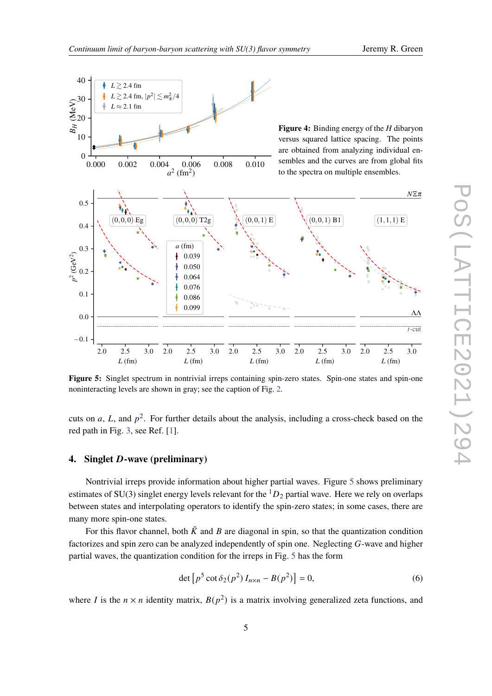<span id="page-4-2"></span><span id="page-4-1"></span>

Figure 5: Singlet spectrum in nontrivial irreps containing spin-zero states. Spin-one states and spin-one noninteracting levels are shown in gray; see the caption of Fig. [2.](#page-2-1)

cuts on a, L, and  $p^2$ . For further details about the analysis, including a cross-check based on the red path in Fig. [3,](#page-3-0) see Ref. [\[1\]](#page-7-0).

#### <span id="page-4-0"></span>**4.** Singlet *D*-wave (preliminary)

Nontrivial irreps provide information about higher partial waves. Figure [5](#page-4-2) shows preliminary estimates of SU(3) singlet energy levels relevant for the  ${}^{1}D_2$  partial wave. Here we rely on overlaps between states and interpolating operators to identify the spin-zero states; in some cases, there are many more spin-one states.

For this flavor channel, both  $\tilde{K}$  and B are diagonal in spin, so that the quantization condition factorizes and spin zero can be analyzed independently of spin one. Neglecting  $G$ -wave and higher partial waves, the quantization condition for the irreps in Fig. [5](#page-4-2) has the form

$$
\det [p^5 \cot \delta_2(p^2) I_{n \times n} - B(p^2)] = 0,
$$
\n(6)

where *I* is the  $n \times n$  identity matrix,  $B(p^2)$  is a matrix involving generalized zeta functions, and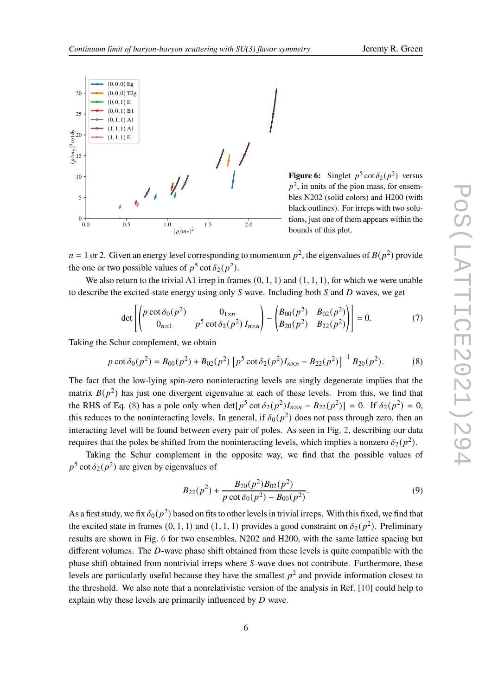<span id="page-5-1"></span>

**Figure 6:** Singlet  $p^5 \cot \delta_2(p^2)$  versus  $p^2$ , in units of the pion mass, for ensembles N202 (solid colors) and H200 (with black outlines). For irreps with two solutions, just one of them appears within the bounds of this plot.

 $n = 1$  or 2. Given an energy level corresponding to momentum  $p^2$ , the eigenvalues of  $B(p^2)$  provide the one or two possible values of  $p^5 \cot \delta_2(p^2)$ .

We also return to the trivial A1 irrep in frames  $(0, 1, 1)$  and  $(1, 1, 1)$ , for which we were unable to describe the excited-state energy using only  $S$  wave. Including both  $S$  and  $D$  waves, we get

$$
\det \left[ \begin{pmatrix} p \cot \delta_0(p^2) & 0_{1 \times n} \\ 0_{n \times 1} & p^5 \cot \delta_2(p^2) I_{n \times n} \end{pmatrix} - \begin{pmatrix} B_{00}(p^2) & B_{02}(p^2) \\ B_{20}(p^2) & B_{22}(p^2) \end{pmatrix} \right] = 0.
$$
 (7)

Taking the Schur complement, we obtain

<span id="page-5-0"></span>
$$
p \cot \delta_0(p^2) = B_{00}(p^2) + B_{02}(p^2) \left[ p^5 \cot \delta_2(p^2) I_{n \times n} - B_{22}(p^2) \right]^{-1} B_{20}(p^2).
$$
 (8)

The fact that the low-lying spin-zero noninteracting levels are singly degenerate implies that the matrix  $B(p^2)$  has just one divergent eigenvalue at each of these levels. From this, we find that the RHS of Eq. [\(8\)](#page-5-0) has a pole only when  $\det[p^5 \cot \delta_2(p^2) I_{n \times n} - B_{22}(p^2)] = 0$ . If  $\delta_2(p^2) = 0$ , this reduces to the noninteracting levels. In general, if  $\delta_0(p^2)$  does not pass through zero, then an interacting level will be found between every pair of poles. As seen in Fig. [2,](#page-2-1) describing our data requires that the poles be shifted from the noninteracting levels, which implies a nonzero  $\delta_2(p^2)$ .

Taking the Schur complement in the opposite way, we find that the possible values of  $p^5 \cot \delta_2(p^2)$  are given by eigenvalues of

$$
B_{22}(p^2) + \frac{B_{20}(p^2)B_{02}(p^2)}{p \cot \delta_0(p^2) - B_{00}(p^2)}.
$$
\n(9)

As a first study, we fix  $\delta_0(p^2)$  based on fits to other levels in trivial irreps. With this fixed, we find that the excited state in frames (0, 1, 1) and (1, 1, 1) provides a good constraint on  $\delta_2(p^2)$ . Preliminary results are shown in Fig. [6](#page-5-1) for two ensembles, N202 and H200, with the same lattice spacing but different volumes. The  $D$ -wave phase shift obtained from these levels is quite compatible with the phase shift obtained from nontrivial irreps where S-wave does not contribute. Furthermore, these levels are particularly useful because they have the smallest  $p^2$  and provide information closest to the threshold. We also note that a nonrelativistic version of the analysis in Ref. [\[10\]](#page-8-3) could help to explain why these levels are primarily influenced by  $D$  wave.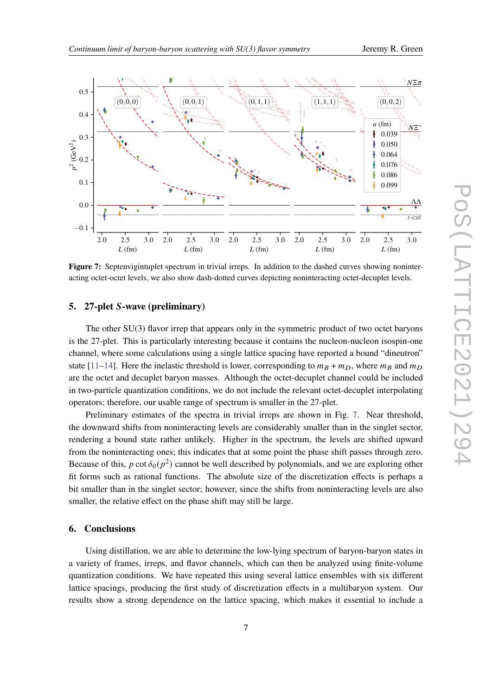<span id="page-6-2"></span>

**Figure 7:** Septenvigintuplet spectrum in trivial irreps. In addition to the dashed curves showing noninteracting octet-octet levels, we also show dash-dotted curves depicting noninteracting octet-decuplet levels.

#### <span id="page-6-0"></span>**5. 27-plet -wave (preliminary)**

The other SU(3) flavor irrep that appears only in the symmetric product of two octet baryons is the 27-plet. This is particularly interesting because it contains the nucleon-nucleon isospin-one channel, where some calculations using a single lattice spacing have reported a bound "dineutron" state [\[11](#page-8-4)[–14\]](#page-8-5). Here the inelastic threshold is lower, corresponding to  $m_B + m_D$ , where  $m_B$  and  $m_D$ are the octet and decuplet baryon masses. Although the octet-decuplet channel could be included in two-particle quantization conditions, we do not include the relevant octet-decuplet interpolating operators; therefore, our usable range of spectrum is smaller in the 27-plet.

Preliminary estimates of the spectra in trivial irreps are shown in Fig. [7.](#page-6-2) Near threshold, the downward shifts from noninteracting levels are considerably smaller than in the singlet sector, rendering a bound state rather unlikely. Higher in the spectrum, the levels are shifted upward from the noninteracting ones; this indicates that at some point the phase shift passes through zero. Because of this, p cot  $\delta_0 (p^2)$  cannot be well described by polynomials, and we are exploring other fit forms such as rational functions. The absolute size of the discretization effects is perhaps a bit smaller than in the singlet sector; however, since the shifts from noninteracting levels are also smaller, the relative effect on the phase shift may still be large.

#### <span id="page-6-1"></span>**6. Conclusions**

Using distillation, we are able to determine the low-lying spectrum of baryon-baryon states in a variety of frames, irreps, and flavor channels, which can then be analyzed using finite-volume quantization conditions. We have repeated this using several lattice ensembles with six different lattice spacings, producing the first study of discretization effects in a multibaryon system. Our results show a strong dependence on the lattice spacing, which makes it essential to include a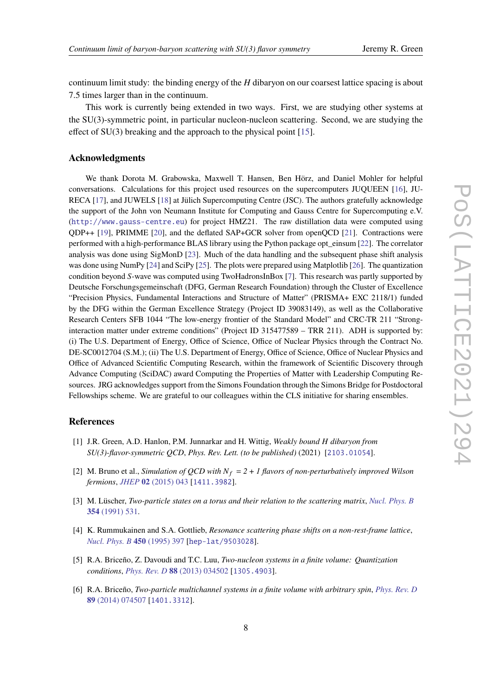continuum limit study: the binding energy of the  $H$  dibaryon on our coarsest lattice spacing is about 7.5 times larger than in the continuum.

This work is currently being extended in two ways. First, we are studying other systems at the SU(3)-symmetric point, in particular nucleon-nucleon scattering. Second, we are studying the effect of SU(3) breaking and the approach to the physical point [\[15\]](#page-8-6).

### **Acknowledgments**

We thank Dorota M. Grabowska, Maxwell T. Hansen, Ben Hörz, and Daniel Mohler for helpful conversations. Calculations for this project used resources on the supercomputers JUQUEEN [\[16\]](#page-8-7), JU-RECA [\[17\]](#page-8-8), and JUWELS [\[18\]](#page-8-9) at Jülich Supercomputing Centre (JSC). The authors gratefully acknowledge the support of the John von Neumann Institute for Computing and Gauss Centre for Supercomputing e.V. (<http://www.gauss-centre.eu>) for project HMZ21. The raw distillation data were computed using QDP++ [\[19\]](#page-8-10), PRIMME [\[20\]](#page-8-11), and the deflated SAP+GCR solver from openQCD [\[21\]](#page-8-12). Contractions were performed with a high-performance BLAS library using the Python package opt\_einsum [\[22\]](#page-8-13). The correlator analysis was done using SigMonD [\[23\]](#page-8-14). Much of the data handling and the subsequent phase shift analysis was done using NumPy [\[24\]](#page-8-15) and SciPy [\[25\]](#page-8-16). The plots were prepared using Matplotlib [\[26\]](#page-8-17). The quantization condition beyond S-wave was computed using TwoHadronsInBox [\[7\]](#page-8-0). This research was partly supported by Deutsche Forschungsgemeinschaft (DFG, German Research Foundation) through the Cluster of Excellence "Precision Physics, Fundamental Interactions and Structure of Matter" (PRISMA+ EXC 2118/1) funded by the DFG within the German Excellence Strategy (Project ID 39083149), as well as the Collaborative Research Centers SFB 1044 "The low-energy frontier of the Standard Model" and CRC-TR 211 "Stronginteraction matter under extreme conditions" (Project ID 315477589 – TRR 211). ADH is supported by: (i) The U.S. Department of Energy, Office of Science, Office of Nuclear Physics through the Contract No. DE-SC0012704 (S.M.); (ii) The U.S. Department of Energy, Office of Science, Office of Nuclear Physics and Office of Advanced Scientific Computing Research, within the framework of Scientific Discovery through Advance Computing (SciDAC) award Computing the Properties of Matter with Leadership Computing Resources. JRG acknowledges support from the Simons Foundation through the Simons Bridge for Postdoctoral Fellowships scheme. We are grateful to our colleagues within the CLS initiative for sharing ensembles.

#### **References**

- <span id="page-7-0"></span>[1] J.R. Green, A.D. Hanlon, P.M. Junnarkar and H. Wittig, *Weakly bound dibaryon from SU(3)-flavor-symmetric QCD*, *Phys. Rev. Lett. (to be published)* (2021) [[2103.01054](https://arxiv.org/abs/2103.01054)].
- <span id="page-7-1"></span>[2] M. Bruno et al., *Simulation of QCD with*  $N_f = 2 + 1$  *flavors of non-perturbatively improved Wilson fermions*, *JHEP* **02** [\(2015\) 043](https://doi.org/10.1007/JHEP02(2015)043) [[1411.3982](https://arxiv.org/abs/1411.3982)].
- <span id="page-7-2"></span>[3] M. Lüscher, *Two-particle states on a torus and their relation to the scattering matrix*, *[Nucl. Phys. B](https://doi.org/10.1016/0550-3213(91)90366-6)* **354** [\(1991\) 531.](https://doi.org/10.1016/0550-3213(91)90366-6)
- [4] K. Rummukainen and S.A. Gottlieb, *Resonance scattering phase shifts on a non-rest-frame lattice*, *[Nucl. Phys. B](https://doi.org/10.1016/0550-3213(95)00313-H)* **450** (1995) 397 [[hep-lat/9503028](https://arxiv.org/abs/hep-lat/9503028)].
- [5] R.A. Briceño, Z. Davoudi and T.C. Luu, *Two-nucleon systems in a finite volume: Quantization conditions*, *[Phys. Rev. D](https://doi.org/10.1103/PhysRevD.88.034502)* **88** (2013) 034502 [[1305.4903](https://arxiv.org/abs/1305.4903)].
- <span id="page-7-3"></span>[6] R.A. Briceño, *Two-particle multichannel systems in a finite volume with arbitrary spin*, *[Phys. Rev. D](https://doi.org/10.1103/PhysRevD.89.074507)* **89** [\(2014\) 074507](https://doi.org/10.1103/PhysRevD.89.074507) [[1401.3312](https://arxiv.org/abs/1401.3312)].